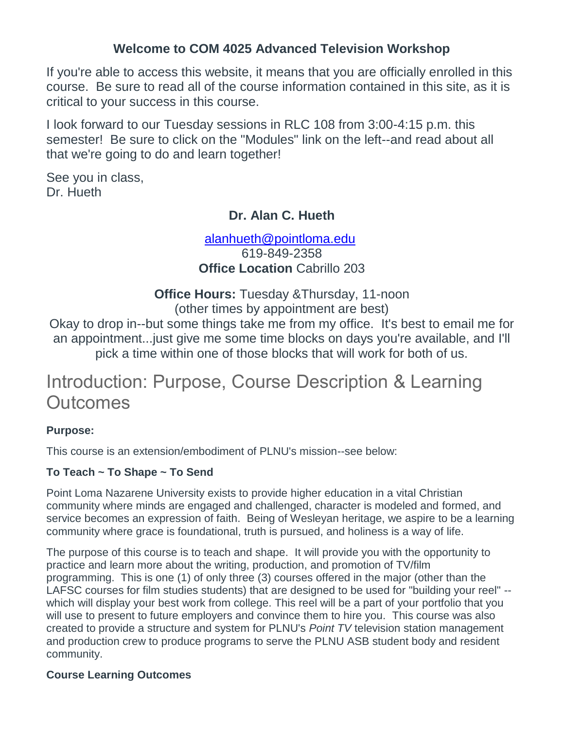## **Welcome to COM 4025 Advanced Television Workshop**

If you're able to access this website, it means that you are officially enrolled in this course. Be sure to read all of the course information contained in this site, as it is critical to your success in this course.

I look forward to our Tuesday sessions in RLC 108 from 3:00-4:15 p.m. this semester! Be sure to click on the "Modules" link on the left--and read about all that we're going to do and learn together!

See you in class, Dr. Hueth

## **Dr. Alan C. Hueth**

[alanhueth@pointloma.edu](mailto:alanhueth@pointloma.edu) 619-849-2358 **Office Location** Cabrillo 203

**Office Hours:** Tuesday &Thursday, 11-noon (other times by appointment are best)

Okay to drop in--but some things take me from my office. It's best to email me for an appointment...just give me some time blocks on days you're available, and I'll pick a time within one of those blocks that will work for both of us.

# Introduction: Purpose, Course Description & Learning **Outcomes**

#### **Purpose:**

This course is an extension/embodiment of PLNU's mission--see below:

## **To Teach ~ To Shape ~ To Send**

Point Loma Nazarene University exists to provide higher education in a vital Christian community where minds are engaged and challenged, character is modeled and formed, and service becomes an expression of faith. Being of Wesleyan heritage, we aspire to be a learning community where grace is foundational, truth is pursued, and holiness is a way of life.

The purpose of this course is to teach and shape. It will provide you with the opportunity to practice and learn more about the writing, production, and promotion of TV/film programming. This is one (1) of only three (3) courses offered in the major (other than the LAFSC courses for film studies students) that are designed to be used for "building your reel" - which will display your best work from college. This reel will be a part of your portfolio that you will use to present to future employers and convince them to hire you. This course was also created to provide a structure and system for PLNU's *Point TV* television station management and production crew to produce programs to serve the PLNU ASB student body and resident community.

#### **Course Learning Outcomes**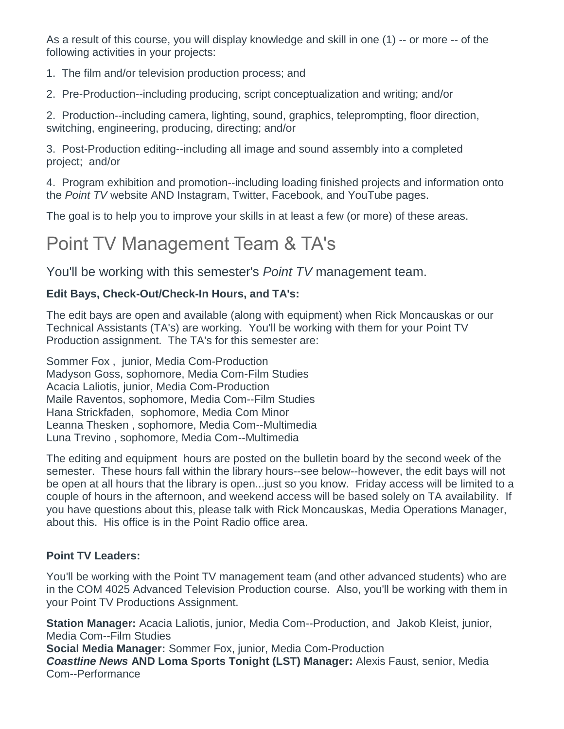As a result of this course, you will display knowledge and skill in one (1) -- or more -- of the following activities in your projects:

1. The film and/or television production process; and

2. Pre-Production--including producing, script conceptualization and writing; and/or

2. Production--including camera, lighting, sound, graphics, teleprompting, floor direction, switching, engineering, producing, directing; and/or

3. Post-Production editing--including all image and sound assembly into a completed project; and/or

4. Program exhibition and promotion--including loading finished projects and information onto the *Point TV* website AND Instagram, Twitter, Facebook, and YouTube pages.

The goal is to help you to improve your skills in at least a few (or more) of these areas.

# Point TV Management Team & TA's

You'll be working with this semester's *Point TV* management team.

## **Edit Bays, Check-Out/Check-In Hours, and TA's:**

The edit bays are open and available (along with equipment) when Rick Moncauskas or our Technical Assistants (TA's) are working. You'll be working with them for your Point TV Production assignment. The TA's for this semester are:

Sommer Fox , junior, Media Com-Production Madyson Goss, sophomore, Media Com-Film Studies Acacia Laliotis, junior, Media Com-Production Maile Raventos, sophomore, Media Com--Film Studies Hana Strickfaden, sophomore, Media Com Minor Leanna Thesken , sophomore, Media Com--Multimedia Luna Trevino , sophomore, Media Com--Multimedia

The editing and equipment hours are posted on the bulletin board by the second week of the semester. These hours fall within the library hours--see below--however, the edit bays will not be open at all hours that the library is open...just so you know. Friday access will be limited to a couple of hours in the afternoon, and weekend access will be based solely on TA availability. If you have questions about this, please talk with Rick Moncauskas, Media Operations Manager, about this. His office is in the Point Radio office area.

## **Point TV Leaders:**

You'll be working with the Point TV management team (and other advanced students) who are in the COM 4025 Advanced Television Production course. Also, you'll be working with them in your Point TV Productions Assignment.

**Station Manager:** Acacia Laliotis, junior, Media Com--Production, and Jakob Kleist, junior, Media Com--Film Studies **Social Media Manager:** Sommer Fox, junior, Media Com-Production

*Coastline News* **AND Loma Sports Tonight (LST) Manager:** Alexis Faust, senior, Media Com--Performance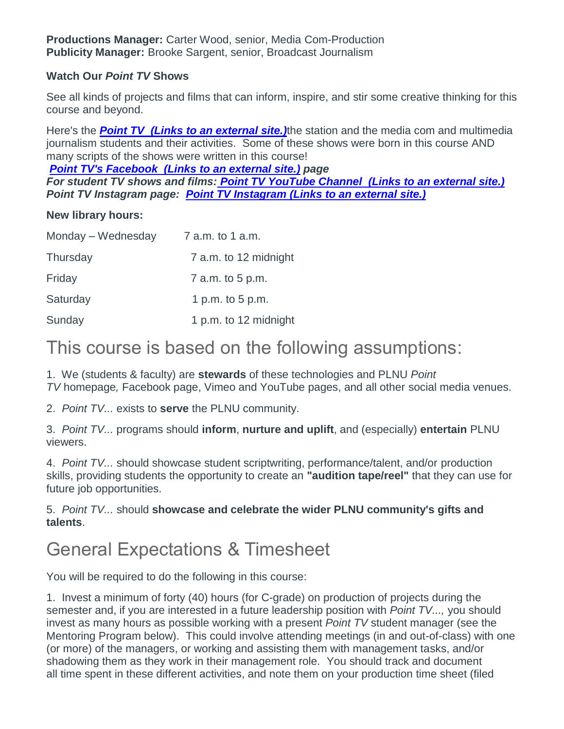#### **Watch Our** *Point TV* **Shows**

See all kinds of projects and films that can inform, inspire, and stir some creative thinking for this course and beyond.

Here's the *[Point TV](https://pointtvplnu.com/) (Links to an external site.)*the station and the media com and multimedia journalism students and their activities. Some of these shows were born in this course AND many scripts of the shows were written in this course!

*[Point TV's Facebook](https://www.facebook.com/pages/Point-TV/447038881997027?ref=hl) (Links to an external site.) page*

*For student TV shows and films: [Point TV YouTube Channel](https://www.youtube.com/channel/UCbSHEdR_GA73Wpay3g4OuBQ) (Links to an external site.) Point TV Instagram page: [Point TV Instagram](https://www.instagram.com/pointtvplnu/?utm_source=ig_profile_share&igshid=vbmuuhg5anps) (Links to an external site.)*

#### **New library hours:**

| Monday – Wednesday | 7 a.m. to 1 a.m.      |
|--------------------|-----------------------|
| Thursday           | 7 a.m. to 12 midnight |
| Friday             | 7 a.m. to 5 p.m.      |
| Saturday           | 1 p.m. to 5 p.m.      |
| Sunday             | 1 p.m. to 12 midnight |

# This course is based on the following assumptions:

1. We (students & faculty) are **stewards** of these technologies and PLNU *Point TV* homepage*,* Facebook page, Vimeo and YouTube pages, and all other social media venues.

2. *Point TV...* exists to **serve** the PLNU community.

3. *Point TV...* programs should **inform**, **nurture and uplift**, and (especially) **entertain** PLNU viewers.

4. *Point TV...* should showcase student scriptwriting, performance/talent, and/or production skills, providing students the opportunity to create an **"audition tape/reel"** that they can use for future job opportunities.

#### 5. *Point TV...* should **showcase and celebrate the wider PLNU community's gifts and talents**.

# General Expectations & Timesheet

You will be required to do the following in this course:

1. Invest a minimum of forty (40) hours (for C-grade) on production of projects during the semester and, if you are interested in a future leadership position with *Point TV...,* you should invest as many hours as possible working with a present *Point TV* student manager (see the Mentoring Program below). This could involve attending meetings (in and out-of-class) with one (or more) of the managers, or working and assisting them with management tasks, and/or shadowing them as they work in their management role. You should track and document all time spent in these different activities, and note them on your production time sheet (filed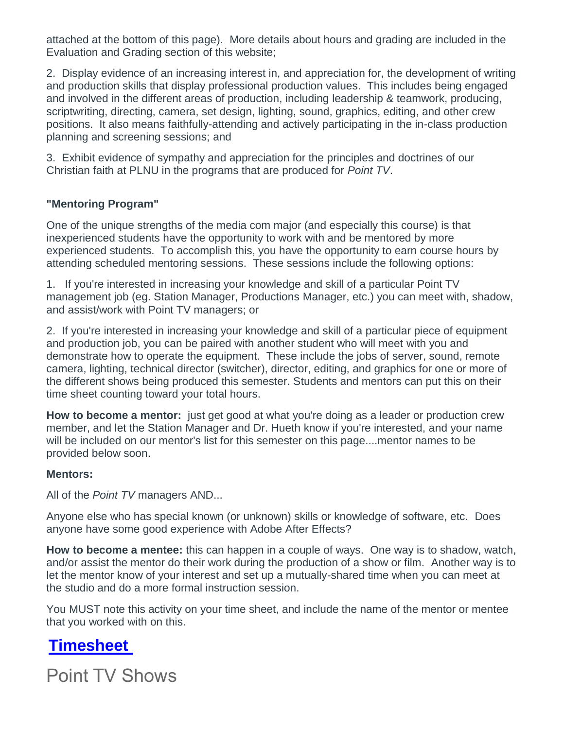attached at the bottom of this page). More details about hours and grading are included in the Evaluation and Grading section of this website;

2. Display evidence of an increasing interest in, and appreciation for, the development of writing and production skills that display professional production values. This includes being engaged and involved in the different areas of production, including leadership & teamwork, producing, scriptwriting, directing, camera, set design, lighting, sound, graphics, editing, and other crew positions. It also means faithfully-attending and actively participating in the in-class production planning and screening sessions; and

3. Exhibit evidence of sympathy and appreciation for the principles and doctrines of our Christian faith at PLNU in the programs that are produced for *Point TV*.

### **"Mentoring Program"**

One of the unique strengths of the media com major (and especially this course) is that inexperienced students have the opportunity to work with and be mentored by more experienced students. To accomplish this, you have the opportunity to earn course hours by attending scheduled mentoring sessions. These sessions include the following options:

1. If you're interested in increasing your knowledge and skill of a particular Point TV management job (eg. Station Manager, Productions Manager, etc.) you can meet with, shadow, and assist/work with Point TV managers; or

2. If you're interested in increasing your knowledge and skill of a particular piece of equipment and production job, you can be paired with another student who will meet with you and demonstrate how to operate the equipment. These include the jobs of server, sound, remote camera, lighting, technical director (switcher), director, editing, and graphics for one or more of the different shows being produced this semester. Students and mentors can put this on their time sheet counting toward your total hours.

**How to become a mentor:** just get good at what you're doing as a leader or production crew member, and let the Station Manager and Dr. Hueth know if you're interested, and your name will be included on our mentor's list for this semester on this page....mentor names to be provided below soon.

#### **Mentors:**

All of the *Point TV* managers AND...

Anyone else who has special known (or unknown) skills or knowledge of software, etc. Does anyone have some good experience with Adobe After Effects?

**How to become a mentee:** this can happen in a couple of ways. One way is to shadow, watch, and/or assist the mentor do their work during the production of a show or film. Another way is to let the mentor know of your interest and set up a mutually-shared time when you can meet at the studio and do a more formal instruction session.

You MUST note this activity on your time sheet, and include the name of the mentor or mentee that you worked with on this.

# **[Timesheet](https://canvas.pointloma.edu/courses/45721/files/2721771/download?wrap=1)**

Point TV Shows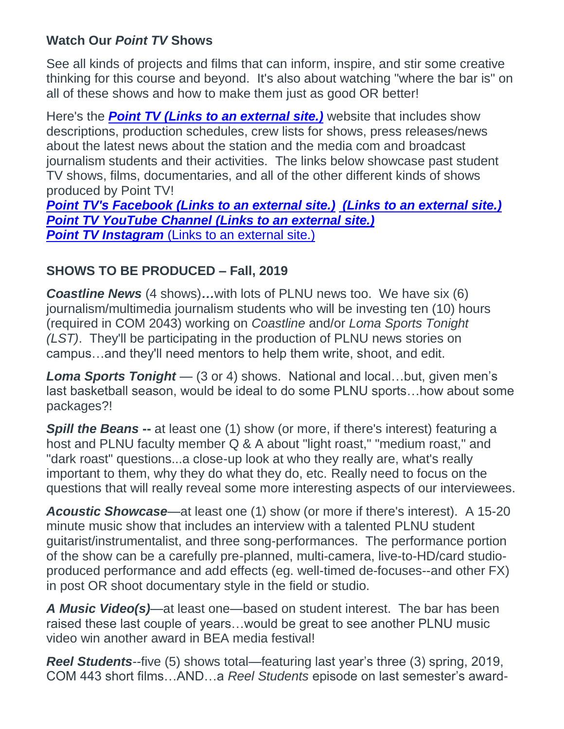# **Watch Our** *Point TV* **Shows**

See all kinds of projects and films that can inform, inspire, and stir some creative thinking for this course and beyond. It's also about watching "where the bar is" on all of these shows and how to make them just as good OR better!

Here's the *[Point TV](http://pointtv23.com/com425and243/) (Links to an external site.)* website that includes show descriptions, production schedules, crew lists for shows, press releases/news about the latest news about the station and the media com and broadcast journalism students and their activities. The links below showcase past student TV shows, films, documentaries, and all of the other different kinds of shows produced by Point TV!

*[Point TV's Facebook](https://www.facebook.com/pages/Point-TV/447038881997027?ref=hl) (Links to an external site.) (Links to an [external](http://vimeo.com/channels/pointtv/52421676) site.) [Point TV YouTube Channel](https://www.youtube.com/channel/UCbSHEdR_GA73Wpay3g4OuBQ) (Links to an external site.)* **[Point TV Instagram](https://www.instagram.com/pointtvplnu/?utm_source=ig_profile_share&igshid=vbmuuhg5anps)** (Links to an external site.)

# **SHOWS TO BE PRODUCED – Fall, 2019**

*Coastline News* (4 shows)*…*with lots of PLNU news too. We have six (6) journalism/multimedia journalism students who will be investing ten (10) hours (required in COM 2043) working on *Coastline* and/or *Loma Sports Tonight (LST)*. They'll be participating in the production of PLNU news stories on campus…and they'll need mentors to help them write, shoot, and edit.

*Loma Sports Tonight* — (3 or 4) shows. National and local…but, given men's last basketball season, would be ideal to do some PLNU sports…how about some packages?!

**Spill the Beans** -- at least one (1) show (or more, if there's interest) featuring a host and PLNU faculty member Q & A about "light roast," "medium roast," and "dark roast" questions...a close-up look at who they really are, what's really important to them, why they do what they do, etc. Really need to focus on the questions that will really reveal some more interesting aspects of our interviewees.

*Acoustic Showcase*—at least one (1) show (or more if there's interest). A 15-20 minute music show that includes an interview with a talented PLNU student guitarist/instrumentalist, and three song-performances. The performance portion of the show can be a carefully pre-planned, multi-camera, live-to-HD/card studioproduced performance and add effects (eg. well-timed de-focuses--and other FX) in post OR shoot documentary style in the field or studio.

*A Music Video(s)*—at least one—based on student interest. The bar has been raised these last couple of years…would be great to see another PLNU music video win another award in BEA media festival!

*Reel Students*--five (5) shows total—featuring last year's three (3) spring, 2019, COM 443 short films…AND…a *Reel Students* episode on last semester's award-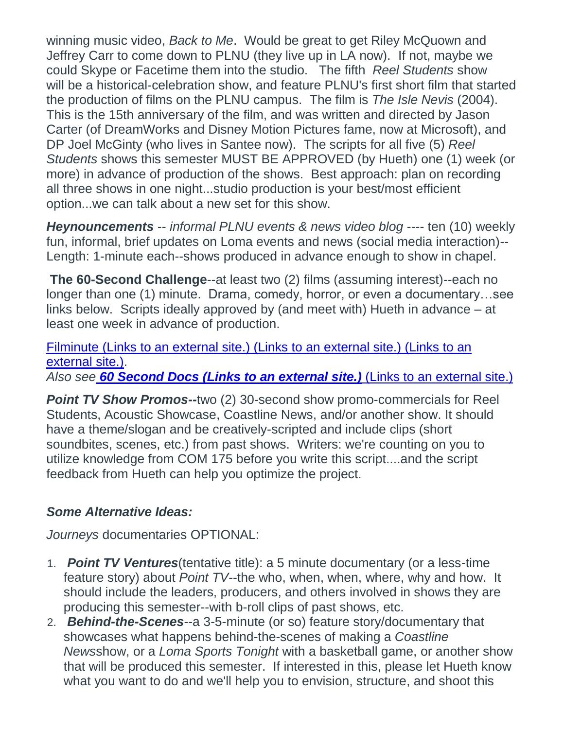winning music video, *Back to Me*. Would be great to get Riley McQuown and Jeffrey Carr to come down to PLNU (they live up in LA now). If not, maybe we could Skype or Facetime them into the studio. The fifth *Reel Students* show will be a historical-celebration show, and feature PLNU's first short film that started the production of films on the PLNU campus. The film is *The Isle Nevis* (2004). This is the 15th anniversary of the film, and was written and directed by Jason Carter (of DreamWorks and Disney Motion Pictures fame, now at Microsoft), and DP Joel McGinty (who lives in Santee now). The scripts for all five (5) *Reel Students* shows this semester MUST BE APPROVED (by Hueth) one (1) week (or more) in advance of production of the shows. Best approach: plan on recording all three shows in one night...studio production is your best/most efficient option...we can talk about a new set for this show.

*Heynouncements* -- *informal PLNU events & news video blog* ---- ten (10) weekly fun, informal, brief updates on Loma events and news (social media interaction)-- Length: 1-minute each--shows produced in advance enough to show in chapel.

**The 60-Second Challenge**--at least two (2) films (assuming interest)--each no longer than one (1) minute. Drama, comedy, horror, or even a documentary…see links below. Scripts ideally approved by (and meet with) Hueth in advance – at least one week in advance of production.

Filminute [\(Links to an external site.\)](http://www.filminute.com/films/2014/tuck-me-in/) (Links to an external site.) (Links to an [external](http://www.filminute.com/films/2014/tuck-me-in/) site.). *Also see 60 Second Docs [\(Links to an external site.\)](https://www.youtube.com/channel/UCYsWPPZMhfI9EddYpPe6CYw)* (Links to an external site.)

*Point TV Show Promos--*two (2) 30-second show promo-commercials for Reel Students, Acoustic Showcase, Coastline News, and/or another show. It should have a theme/slogan and be creatively-scripted and include clips (short soundbites, scenes, etc.) from past shows. Writers: we're counting on you to utilize knowledge from COM 175 before you write this script....and the script feedback from Hueth can help you optimize the project.

# *Some Alternative Ideas:*

*Journeys* documentaries OPTIONAL:

- 1. *Point TV Ventures*(tentative title): a 5 minute documentary (or a less-time feature story) about *Point TV*--the who, when, when, where, why and how. It should include the leaders, producers, and others involved in shows they are producing this semester--with b-roll clips of past shows, etc.
- 2. *Behind-the-Scenes*--a 3-5-minute (or so) feature story/documentary that showcases what happens behind-the-scenes of making a *Coastline News*show, or a *Loma Sports Tonight* with a basketball game, or another show that will be produced this semester. If interested in this, please let Hueth know what you want to do and we'll help you to envision, structure, and shoot this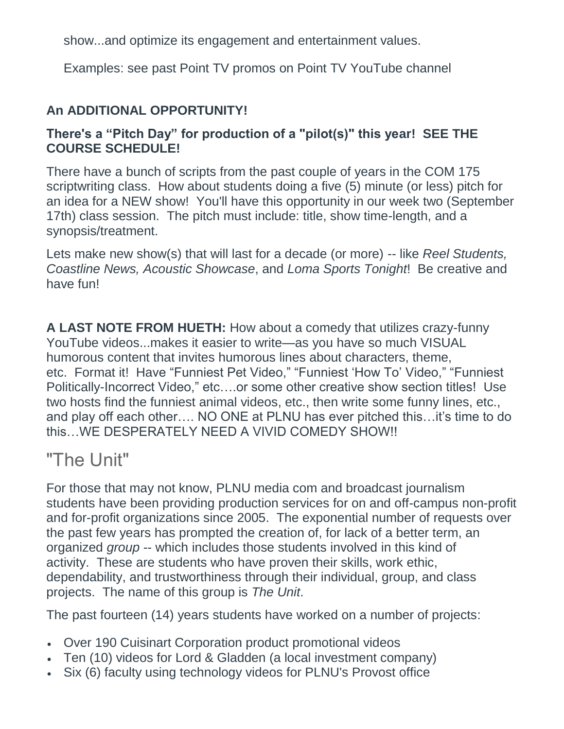show...and optimize its engagement and entertainment values.

Examples: see past Point TV promos on Point TV YouTube channel

# **An ADDITIONAL OPPORTUNITY!**

# **There's a "Pitch Day" for production of a "pilot(s)" this year! SEE THE COURSE SCHEDULE!**

There have a bunch of scripts from the past couple of years in the COM 175 scriptwriting class. How about students doing a five (5) minute (or less) pitch for an idea for a NEW show! You'll have this opportunity in our week two (September 17th) class session. The pitch must include: title, show time-length, and a synopsis/treatment.

Lets make new show(s) that will last for a decade (or more) -- like *Reel Students, Coastline News, Acoustic Showcase*, and *Loma Sports Tonight*! Be creative and have fun!

**A LAST NOTE FROM HUETH:** How about a comedy that utilizes crazy-funny YouTube videos...makes it easier to write—as you have so much VISUAL humorous content that invites humorous lines about characters, theme, etc. Format it! Have "Funniest Pet Video," "Funniest 'How To' Video," "Funniest Politically-Incorrect Video," etc….or some other creative show section titles! Use two hosts find the funniest animal videos, etc., then write some funny lines, etc., and play off each other…. NO ONE at PLNU has ever pitched this…it's time to do this…WE DESPERATELY NEED A VIVID COMEDY SHOW!!

# "The Unit"

For those that may not know, PLNU media com and broadcast journalism students have been providing production services for on and off-campus non-profit and for-profit organizations since 2005. The exponential number of requests over the past few years has prompted the creation of, for lack of a better term, an organized *group* -- which includes those students involved in this kind of activity. These are students who have proven their skills, work ethic, dependability, and trustworthiness through their individual, group, and class projects. The name of this group is *The Unit*.

The past fourteen (14) years students have worked on a number of projects:

- Over 190 Cuisinart Corporation product promotional videos
- Ten (10) videos for Lord & Gladden (a local investment company)
- Six (6) faculty using technology videos for PLNU's Provost office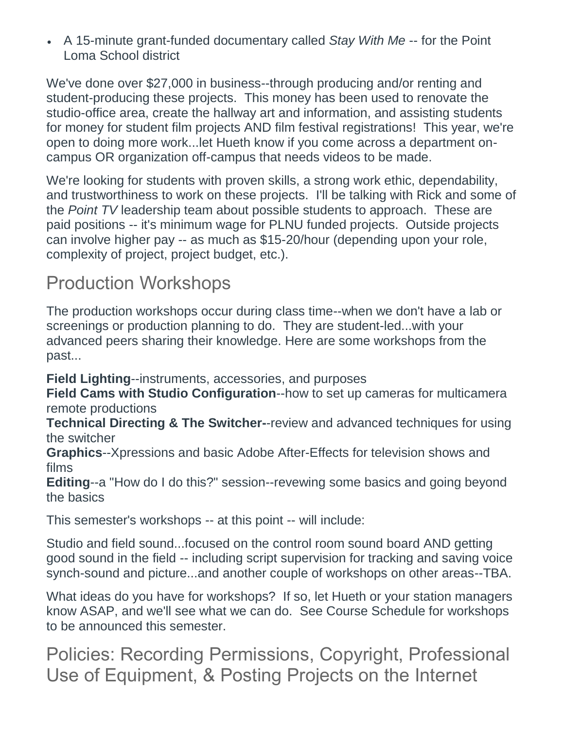A 15-minute grant-funded documentary called *Stay With Me* -- for the Point Loma School district

We've done over \$27,000 in business--through producing and/or renting and student-producing these projects. This money has been used to renovate the studio-office area, create the hallway art and information, and assisting students for money for student film projects AND film festival registrations! This year, we're open to doing more work...let Hueth know if you come across a department oncampus OR organization off-campus that needs videos to be made.

We're looking for students with proven skills, a strong work ethic, dependability, and trustworthiness to work on these projects. I'll be talking with Rick and some of the *Point TV* leadership team about possible students to approach. These are paid positions -- it's minimum wage for PLNU funded projects. Outside projects can involve higher pay -- as much as \$15-20/hour (depending upon your role, complexity of project, project budget, etc.).

# Production Workshops

The production workshops occur during class time--when we don't have a lab or screenings or production planning to do. They are student-led...with your advanced peers sharing their knowledge. Here are some workshops from the past...

**Field Lighting**--instruments, accessories, and purposes

**Field Cams with Studio Configuration**--how to set up cameras for multicamera remote productions

**Technical Directing & The Switcher-**-review and advanced techniques for using the switcher

**Graphics**--Xpressions and basic Adobe After-Effects for television shows and films

**Editing**--a "How do I do this?" session--revewing some basics and going beyond the basics

This semester's workshops -- at this point -- will include:

Studio and field sound...focused on the control room sound board AND getting good sound in the field -- including script supervision for tracking and saving voice synch-sound and picture...and another couple of workshops on other areas--TBA.

What ideas do you have for workshops? If so, let Hueth or your station managers know ASAP, and we'll see what we can do. See Course Schedule for workshops to be announced this semester.

Policies: Recording Permissions, Copyright, Professional Use of Equipment, & Posting Projects on the Internet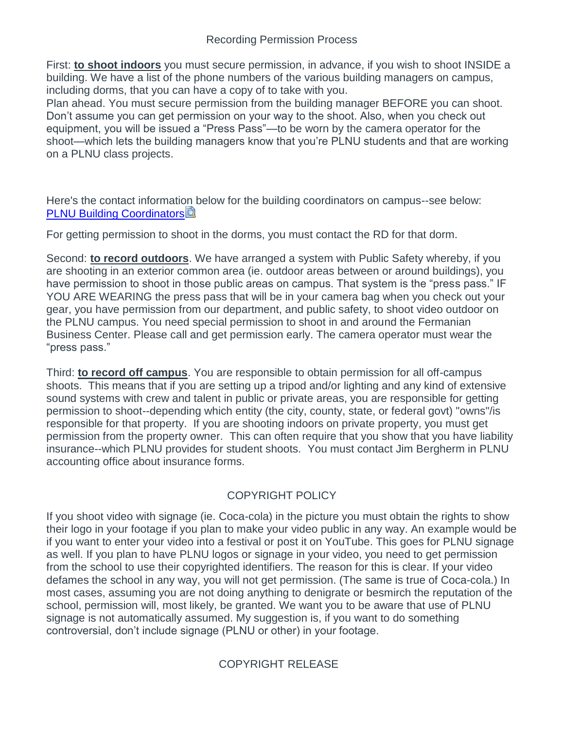First: **to shoot indoors** you must secure permission, in advance, if you wish to shoot INSIDE a building. We have a list of the phone numbers of the various building managers on campus, including dorms, that you can have a copy of to take with you.

Plan ahead. You must secure permission from the building manager BEFORE you can shoot. Don't assume you can get permission on your way to the shoot. Also, when you check out equipment, you will be issued a "Press Pass"—to be worn by the camera operator for the shoot—which lets the building managers know that you're PLNU students and that are working on a PLNU class projects.

Here's the contact information below for the building coordinators on campus--see below: [PLNU Building Coordinators](https://canvas.pointloma.edu/courses/45721/files/2717918/download?wrap=1)

For getting permission to shoot in the dorms, you must contact the RD for that dorm.

Second: **to record outdoors**. We have arranged a system with Public Safety whereby, if you are shooting in an exterior common area (ie. outdoor areas between or around buildings), you have permission to shoot in those public areas on campus. That system is the "press pass." IF YOU ARE WEARING the press pass that will be in your camera bag when you check out your gear, you have permission from our department, and public safety, to shoot video outdoor on the PLNU campus. You need special permission to shoot in and around the Fermanian Business Center. Please call and get permission early. The camera operator must wear the "press pass."

Third: **to record off campus**. You are responsible to obtain permission for all off-campus shoots. This means that if you are setting up a tripod and/or lighting and any kind of extensive sound systems with crew and talent in public or private areas, you are responsible for getting permission to shoot--depending which entity (the city, county, state, or federal govt) "owns"/is responsible for that property. If you are shooting indoors on private property, you must get permission from the property owner. This can often require that you show that you have liability insurance--which PLNU provides for student shoots. You must contact Jim Bergherm in PLNU accounting office about insurance forms.

## COPYRIGHT POLICY

If you shoot video with signage (ie. Coca-cola) in the picture you must obtain the rights to show their logo in your footage if you plan to make your video public in any way. An example would be if you want to enter your video into a festival or post it on YouTube. This goes for PLNU signage as well. If you plan to have PLNU logos or signage in your video, you need to get permission from the school to use their copyrighted identifiers. The reason for this is clear. If your video defames the school in any way, you will not get permission. (The same is true of Coca-cola.) In most cases, assuming you are not doing anything to denigrate or besmirch the reputation of the school, permission will, most likely, be granted. We want you to be aware that use of PLNU signage is not automatically assumed. My suggestion is, if you want to do something controversial, don't include signage (PLNU or other) in your footage.

## COPYRIGHT RELEASE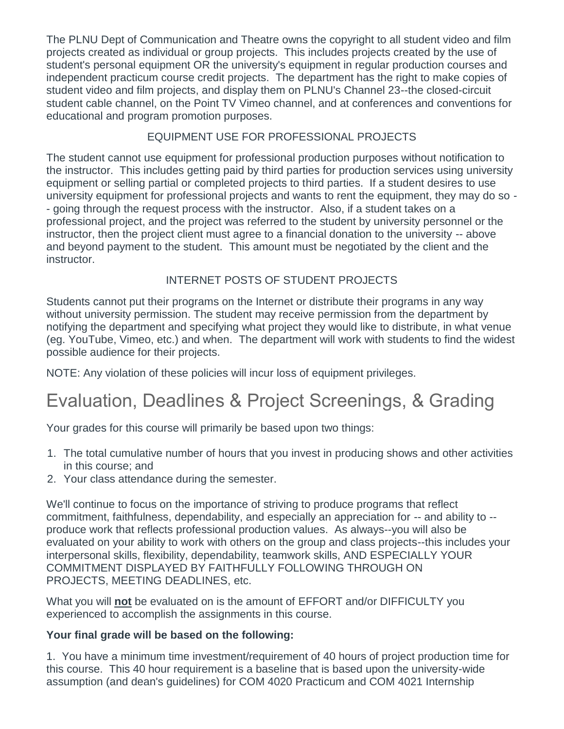The PLNU Dept of Communication and Theatre owns the copyright to all student video and film projects created as individual or group projects. This includes projects created by the use of student's personal equipment OR the university's equipment in regular production courses and independent practicum course credit projects. The department has the right to make copies of student video and film projects, and display them on PLNU's Channel 23--the closed-circuit student cable channel, on the Point TV Vimeo channel, and at conferences and conventions for educational and program promotion purposes.

### EQUIPMENT USE FOR PROFESSIONAL PROJECTS

The student cannot use equipment for professional production purposes without notification to the instructor. This includes getting paid by third parties for production services using university equipment or selling partial or completed projects to third parties. If a student desires to use university equipment for professional projects and wants to rent the equipment, they may do so - - going through the request process with the instructor. Also, if a student takes on a professional project, and the project was referred to the student by university personnel or the instructor, then the project client must agree to a financial donation to the university -- above and beyond payment to the student. This amount must be negotiated by the client and the instructor.

## INTERNET POSTS OF STUDENT PROJECTS

Students cannot put their programs on the Internet or distribute their programs in any way without university permission. The student may receive permission from the department by notifying the department and specifying what project they would like to distribute, in what venue (eg. YouTube, Vimeo, etc.) and when. The department will work with students to find the widest possible audience for their projects.

NOTE: Any violation of these policies will incur loss of equipment privileges.

# Evaluation, Deadlines & Project Screenings, & Grading

Your grades for this course will primarily be based upon two things:

- 1. The total cumulative number of hours that you invest in producing shows and other activities in this course; and
- 2. Your class attendance during the semester.

We'll continue to focus on the importance of striving to produce programs that reflect commitment, faithfulness, dependability, and especially an appreciation for -- and ability to - produce work that reflects professional production values. As always--you will also be evaluated on your ability to work with others on the group and class projects--this includes your interpersonal skills, flexibility, dependability, teamwork skills, AND ESPECIALLY YOUR COMMITMENT DISPLAYED BY FAITHFULLY FOLLOWING THROUGH ON PROJECTS, MEETING DEADLINES, etc.

What you will **not** be evaluated on is the amount of EFFORT and/or DIFFICULTY you experienced to accomplish the assignments in this course.

## **Your final grade will be based on the following:**

1. You have a minimum time investment/requirement of 40 hours of project production time for this course. This 40 hour requirement is a baseline that is based upon the university-wide assumption (and dean's guidelines) for COM 4020 Practicum and COM 4021 Internship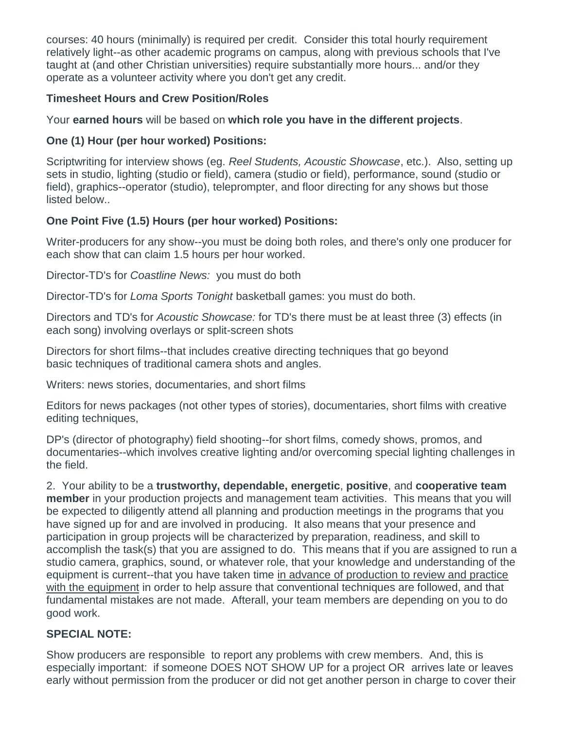courses: 40 hours (minimally) is required per credit. Consider this total hourly requirement relatively light--as other academic programs on campus, along with previous schools that I've taught at (and other Christian universities) require substantially more hours... and/or they operate as a volunteer activity where you don't get any credit.

#### **Timesheet Hours and Crew Position/Roles**

Your **earned hours** will be based on **which role you have in the different projects**.

### **One (1) Hour (per hour worked) Positions:**

Scriptwriting for interview shows (eg. *Reel Students, Acoustic Showcase*, etc.). Also, setting up sets in studio, lighting (studio or field), camera (studio or field), performance, sound (studio or field), graphics--operator (studio), teleprompter, and floor directing for any shows but those listed below..

### **One Point Five (1.5) Hours (per hour worked) Positions:**

Writer-producers for any show--you must be doing both roles, and there's only one producer for each show that can claim 1.5 hours per hour worked.

Director-TD's for *Coastline News:* you must do both

Director-TD's for *Loma Sports Tonight* basketball games: you must do both.

Directors and TD's for *Acoustic Showcase:* for TD's there must be at least three (3) effects (in each song) involving overlays or split-screen shots

Directors for short films--that includes creative directing techniques that go beyond basic techniques of traditional camera shots and angles.

Writers: news stories, documentaries, and short films

Editors for news packages (not other types of stories), documentaries, short films with creative editing techniques,

DP's (director of photography) field shooting--for short films, comedy shows, promos, and documentaries--which involves creative lighting and/or overcoming special lighting challenges in the field.

2. Your ability to be a **trustworthy, dependable, energetic**, **positive**, and **cooperative team member** in your production projects and management team activities. This means that you will be expected to diligently attend all planning and production meetings in the programs that you have signed up for and are involved in producing. It also means that your presence and participation in group projects will be characterized by preparation, readiness, and skill to accomplish the task(s) that you are assigned to do. This means that if you are assigned to run a studio camera, graphics, sound, or whatever role, that your knowledge and understanding of the equipment is current--that you have taken time in advance of production to review and practice with the equipment in order to help assure that conventional techniques are followed, and that fundamental mistakes are not made. Afterall, your team members are depending on you to do good work.

## **SPECIAL NOTE:**

Show producers are responsible to report any problems with crew members. And, this is especially important: if someone DOES NOT SHOW UP for a project OR arrives late or leaves early without permission from the producer or did not get another person in charge to cover their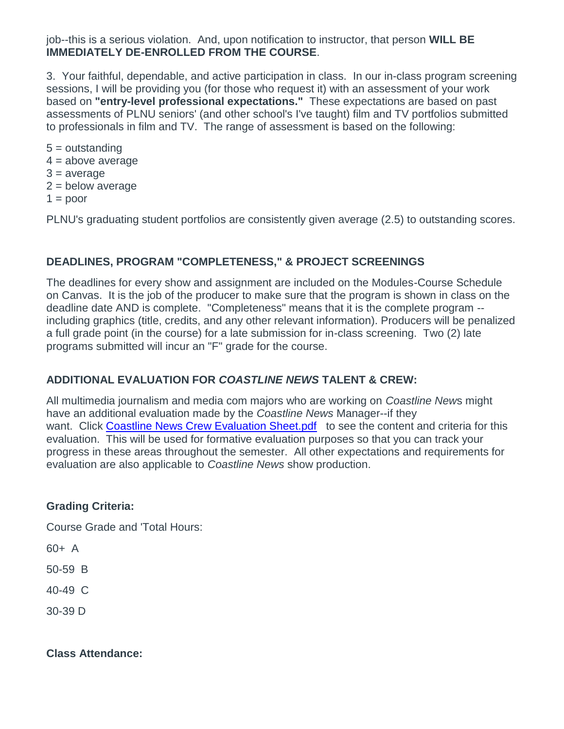job--this is a serious violation. And, upon notification to instructor, that person **WILL BE IMMEDIATELY DE-ENROLLED FROM THE COURSE**.

3. Your faithful, dependable, and active participation in class. In our in-class program screening sessions, I will be providing you (for those who request it) with an assessment of your work based on **"entry-level professional expectations."** These expectations are based on past assessments of PLNU seniors' (and other school's I've taught) film and TV portfolios submitted to professionals in film and TV. The range of assessment is based on the following:

5 = outstanding  $4 = above average$  $3 = average$  $2 =$  below average  $1 =$  poor

PLNU's graduating student portfolios are consistently given average (2.5) to outstanding scores.

#### **DEADLINES, PROGRAM "COMPLETENESS," & PROJECT SCREENINGS**

The deadlines for every show and assignment are included on the Modules-Course Schedule on Canvas. It is the job of the producer to make sure that the program is shown in class on the deadline date AND is complete. "Completeness" means that it is the complete program - including graphics (title, credits, and any other relevant information). Producers will be penalized a full grade point (in the course) for a late submission for in-class screening. Two (2) late programs submitted will incur an "F" grade for the course.

#### **ADDITIONAL EVALUATION FOR** *COASTLINE NEWS* **TALENT & CREW:**

All multimedia journalism and media com majors who are working on *Coastline New*s might have an additional evaluation made by the *Coastline News* Manager--if they want. Click [Coastline News Crew Evaluation Sheet.pdf](https://canvas.pointloma.edu/courses/45721/files/2717919/preview) to see the content and criteria for this evaluation. This will be used for formative evaluation purposes so that you can track your progress in these areas throughout the semester. All other expectations and requirements for evaluation are also applicable to *Coastline News* show production.

#### **Grading Criteria:**

Course Grade and 'Total Hours:

60+ A

50-59 B

40-49 C

30-39 D

**Class Attendance:**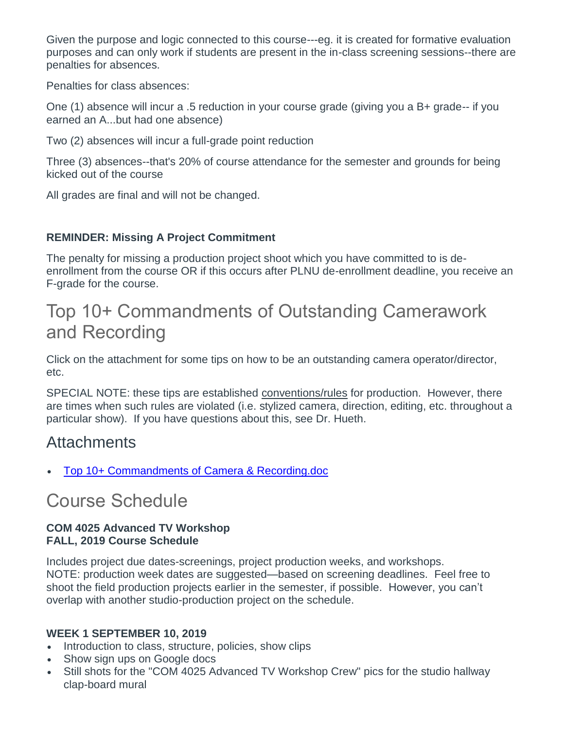Given the purpose and logic connected to this course---eg. it is created for formative evaluation purposes and can only work if students are present in the in-class screening sessions--there are penalties for absences.

Penalties for class absences:

One (1) absence will incur a .5 reduction in your course grade (giving you a B+ grade-- if you earned an A...but had one absence)

Two (2) absences will incur a full-grade point reduction

Three (3) absences--that's 20% of course attendance for the semester and grounds for being kicked out of the course

All grades are final and will not be changed.

### **REMINDER: Missing A Project Commitment**

The penalty for missing a production project shoot which you have committed to is deenrollment from the course OR if this occurs after PLNU de-enrollment deadline, you receive an F-grade for the course.

# Top 10+ Commandments of Outstanding Camerawork and Recording

Click on the attachment for some tips on how to be an outstanding camera operator/director, etc.

SPECIAL NOTE: these tips are established conventions/rules for production. However, there are times when such rules are violated (i.e. stylized camera, direction, editing, etc. throughout a particular show). If you have questions about this, see Dr. Hueth.

# **Attachments**

[Top 10+ Commandments of](https://canvas.pointloma.edu/courses/45721/files/2717926/download?wrap=1) Camera & Recording.doc

# Course Schedule

#### **COM 4025 Advanced TV Workshop FALL, 2019 Course Schedule**

Includes project due dates-screenings, project production weeks, and workshops. NOTE: production week dates are suggested—based on screening deadlines. Feel free to shoot the field production projects earlier in the semester, if possible. However, you can't overlap with another studio-production project on the schedule.

#### **WEEK 1 SEPTEMBER 10, 2019**

- Introduction to class, structure, policies, show clips
- Show sign ups on Google docs
- Still shots for the "COM 4025 Advanced TV Workshop Crew" pics for the studio hallway clap-board mural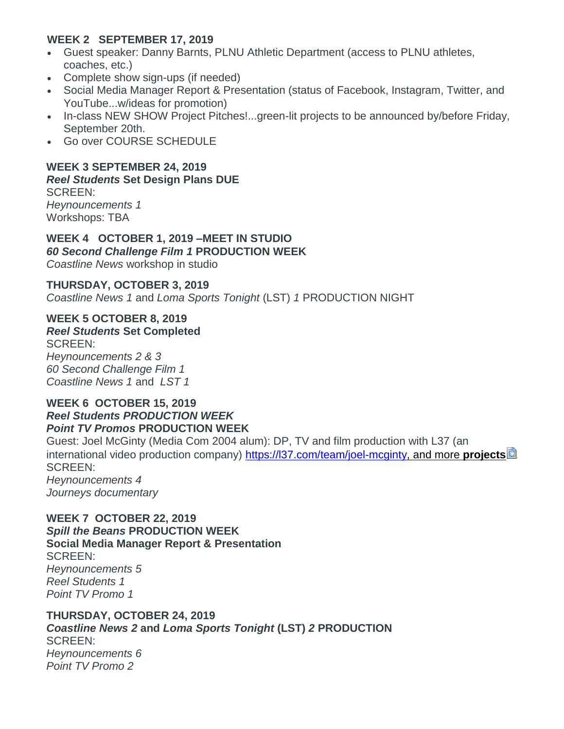#### **WEEK 2 SEPTEMBER 17, 2019**

- Guest speaker: Danny Barnts, PLNU Athletic Department (access to PLNU athletes, coaches, etc.)
- Complete show sign-ups (if needed)
- Social Media Manager Report & Presentation (status of Facebook, Instagram, Twitter, and YouTube...w/ideas for promotion)
- In-class NEW SHOW Project Pitches!...green-lit projects to be announced by/before Friday, September 20th.
- Go over COURSE SCHEDULE

## **WEEK 3 SEPTEMBER 24, 2019**

#### *Reel Students* **Set Design Plans DUE**

SCREEN: *Heynouncements 1* Workshops: TBA

**WEEK 4 OCTOBER 1, 2019 –MEET IN STUDIO**  *60 Second Challenge Film 1* **PRODUCTION WEEK** *Coastline News* workshop in studio

#### **THURSDAY, OCTOBER 3, 2019**

*Coastline News 1* and *Loma Sports Tonight* (LST) *1* PRODUCTION NIGHT

### **WEEK 5 OCTOBER 8, 2019**

*Reel Students* **Set Completed** SCREEN: *Heynouncements 2 & 3 60 Second Challenge Film 1 Coastline News 1* and *LST 1*

#### **WEEK 6 OCTOBER 15, 2019** *Reel Students PRODUCTION WEEK Point TV Promos* **PRODUCTION WEEK**

Guest: Joel McGinty (Media Com 2004 alum): DP, TV and film production with L37 (an international video production company) [https://l37.com/team/joel-mcginty, and more](https://canvas.pointloma.edu/courses/45721/files/2740962/download?wrap=1) **project[s](https://canvas.pointloma.edu/courses/45721/files/2740962/download?wrap=1)** SCREEN: *Heynouncements 4 Journeys documentary*

#### **WEEK 7 OCTOBER 22, 2019** *Spill the Beans* **PRODUCTION WEEK Social Media Manager Report & Presentation**  SCREEN: *Heynouncements 5 Reel Students 1 Point TV Promo 1*

#### **THURSDAY, OCTOBER 24, 2019** *Coastline News 2* **and** *Loma Sports Tonight* **(LST)** *2* **PRODUCTION**  SCREEN: *Heynouncements 6 Point TV Promo 2*